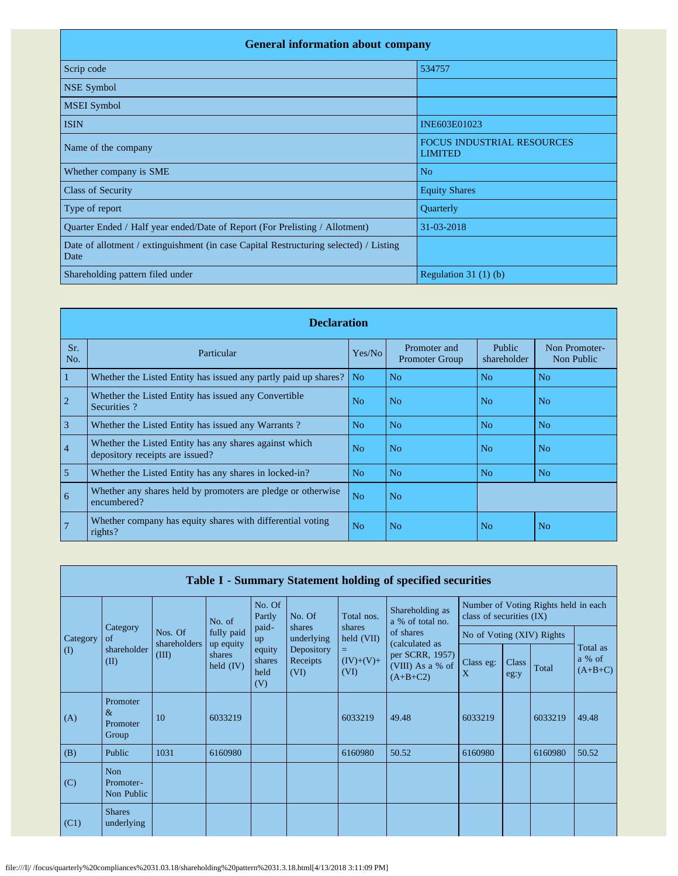| <b>General information about company</b>                                                      |                                                     |  |  |  |  |  |  |  |
|-----------------------------------------------------------------------------------------------|-----------------------------------------------------|--|--|--|--|--|--|--|
| Scrip code                                                                                    | 534757                                              |  |  |  |  |  |  |  |
| NSE Symbol                                                                                    |                                                     |  |  |  |  |  |  |  |
| <b>MSEI</b> Symbol                                                                            |                                                     |  |  |  |  |  |  |  |
| <b>ISIN</b>                                                                                   | INE603E01023                                        |  |  |  |  |  |  |  |
| Name of the company                                                                           | <b>FOCUS INDUSTRIAL RESOURCES</b><br><b>LIMITED</b> |  |  |  |  |  |  |  |
| Whether company is SME                                                                        | N <sub>o</sub>                                      |  |  |  |  |  |  |  |
| <b>Class of Security</b>                                                                      | <b>Equity Shares</b>                                |  |  |  |  |  |  |  |
| Type of report                                                                                | Quarterly                                           |  |  |  |  |  |  |  |
| Quarter Ended / Half year ended/Date of Report (For Prelisting / Allotment)                   | 31-03-2018                                          |  |  |  |  |  |  |  |
| Date of allotment / extinguishment (in case Capital Restructuring selected) / Listing<br>Date |                                                     |  |  |  |  |  |  |  |
| Shareholding pattern filed under                                                              | Regulation $31(1)(b)$                               |  |  |  |  |  |  |  |

|                | <b>Declaration</b>                                                                        |                |                                       |                       |                             |  |  |  |  |  |  |
|----------------|-------------------------------------------------------------------------------------------|----------------|---------------------------------------|-----------------------|-----------------------------|--|--|--|--|--|--|
| Sr.<br>No.     | Particular                                                                                | Yes/No         | Promoter and<br><b>Promoter Group</b> | Public<br>shareholder | Non Promoter-<br>Non Public |  |  |  |  |  |  |
| $\vert$ 1      | Whether the Listed Entity has issued any partly paid up shares?                           | No.            | N <sub>o</sub>                        | N <sub>o</sub>        | N <sub>o</sub>              |  |  |  |  |  |  |
| $\overline{2}$ | Whether the Listed Entity has issued any Convertible<br>Securities?                       | No             | N <sub>o</sub>                        | N <sub>0</sub>        | N <sub>o</sub>              |  |  |  |  |  |  |
| $\overline{3}$ | Whether the Listed Entity has issued any Warrants?                                        | N <sub>o</sub> | N <sub>o</sub>                        | N <sub>o</sub>        | N <sub>o</sub>              |  |  |  |  |  |  |
| $\vert 4$      | Whether the Listed Entity has any shares against which<br>depository receipts are issued? | No             | N <sub>o</sub>                        | N <sub>o</sub>        | N <sub>o</sub>              |  |  |  |  |  |  |
| $\overline{5}$ | Whether the Listed Entity has any shares in locked-in?                                    | N <sub>o</sub> | N <sub>o</sub>                        | N <sub>o</sub>        | N <sub>o</sub>              |  |  |  |  |  |  |
| $\overline{6}$ | Whether any shares held by promoters are pledge or otherwise<br>encumbered?               | N <sub>o</sub> | N <sub>o</sub>                        |                       |                             |  |  |  |  |  |  |
| $\overline{7}$ | Whether company has equity shares with differential voting<br>rights?                     | N <sub>o</sub> | N <sub>o</sub>                        | N <sub>o</sub>        | N <sub>o</sub>              |  |  |  |  |  |  |

|          | Table I - Summary Statement holding of specified securities |                                  |                                                  |                                 |                                |                            |                                                                     |                           |               |                                      |                                 |
|----------|-------------------------------------------------------------|----------------------------------|--------------------------------------------------|---------------------------------|--------------------------------|----------------------------|---------------------------------------------------------------------|---------------------------|---------------|--------------------------------------|---------------------------------|
|          |                                                             |                                  | No. of                                           | No. Of<br>Partly                | No. Of                         | Total nos.                 | Shareholding as<br>a % of total no.                                 | class of securities (IX)  |               | Number of Voting Rights held in each |                                 |
| Category | Category<br>of                                              | Nos. Of<br>shareholders<br>(III) | fully paid<br>up equity<br>shares<br>held $(IV)$ | paid-<br>up                     | shares<br>underlying           | shares<br>held (VII)       | of shares                                                           | No of Voting (XIV) Rights |               |                                      |                                 |
| (I)      | shareholder<br>(II)                                         |                                  |                                                  | equity<br>shares<br>held<br>(V) | Depository<br>Receipts<br>(VI) | $=$<br>$(IV)+(V)+$<br>(VI) | (calculated as<br>per SCRR, 1957)<br>(VIII) As a % of<br>$(A+B+C2)$ | Class eg:<br>X            | Class<br>eg:y | Total                                | Total as<br>a % of<br>$(A+B+C)$ |
| (A)      | Promoter<br>$\&$<br>Promoter<br>Group                       | 10                               | 6033219                                          |                                 |                                | 6033219                    | 49.48                                                               | 6033219                   |               | 6033219                              | 49.48                           |
| (B)      | Public                                                      | 1031                             | 6160980                                          |                                 |                                | 6160980                    | 50.52                                                               | 6160980                   |               | 6160980                              | 50.52                           |
| (C)      | <b>Non</b><br>Promoter-<br>Non Public                       |                                  |                                                  |                                 |                                |                            |                                                                     |                           |               |                                      |                                 |
| (C1)     | <b>Shares</b><br>underlying                                 |                                  |                                                  |                                 |                                |                            |                                                                     |                           |               |                                      |                                 |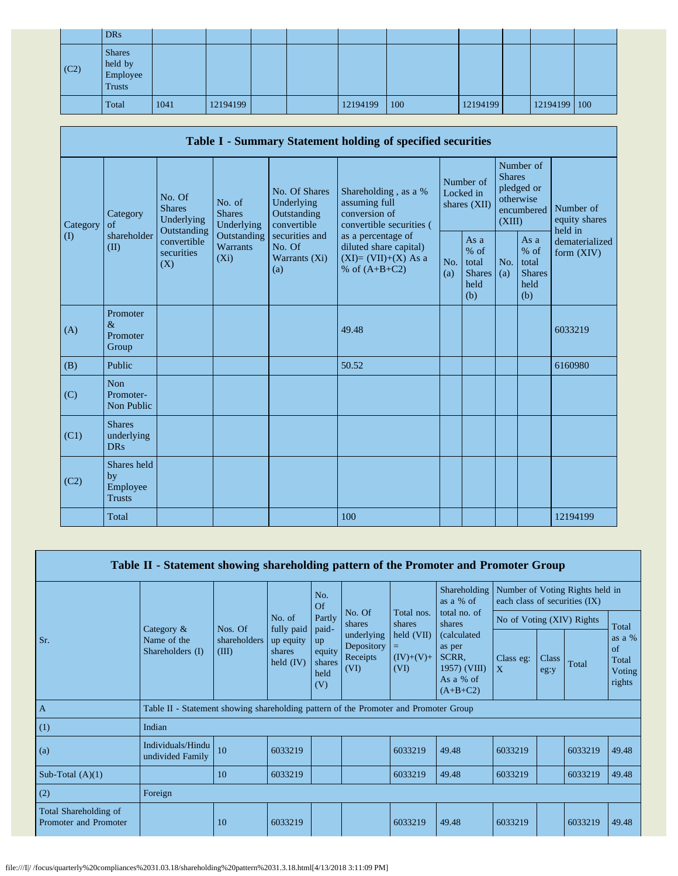|      | <b>DRs</b>                                            |      |          |  |          |     |          |              |  |
|------|-------------------------------------------------------|------|----------|--|----------|-----|----------|--------------|--|
| (C2) | <b>Shares</b><br>held by<br>Employee<br><b>Trusts</b> |      |          |  |          |     |          |              |  |
|      | Total                                                 | 1041 | 12194199 |  | 12194199 | 100 | 12194199 | 12194199 100 |  |

| Table I - Summary Statement holding of specified securities |                                                |                                                                                                                                                                         |                                                    |                                                                                          |                                                                                    |                                                         |            |                                                                               |                                |                                       |
|-------------------------------------------------------------|------------------------------------------------|-------------------------------------------------------------------------------------------------------------------------------------------------------------------------|----------------------------------------------------|------------------------------------------------------------------------------------------|------------------------------------------------------------------------------------|---------------------------------------------------------|------------|-------------------------------------------------------------------------------|--------------------------------|---------------------------------------|
| Category<br>$\rm(D)$                                        | Category<br>of<br>shareholder<br>(II)<br>(X)   | No. Of<br>No. of<br><b>Shares</b><br><b>Shares</b><br>Underlying<br>Underlying<br>Outstanding<br>Outstanding<br>convertible<br><b>Warrants</b><br>securities<br>$(X_i)$ |                                                    | No. Of Shares<br>Underlying<br>Outstanding<br>convertible                                | Shareholding, as a %<br>assuming full<br>conversion of<br>convertible securities ( | Number of<br>Locked in<br>shares (XII)                  |            | Number of<br><b>Shares</b><br>pledged or<br>otherwise<br>encumbered<br>(XIII) |                                | Number of<br>equity shares<br>held in |
|                                                             |                                                |                                                                                                                                                                         | securities and<br>No. Of<br>Warrants $(Xi)$<br>(a) | as a percentage of<br>diluted share capital)<br>$(XI)=(VII)+(X)$ As a<br>% of $(A+B+C2)$ | No.<br>(a)                                                                         | As a<br>$%$ of<br>total<br><b>Shares</b><br>held<br>(b) | No.<br>(a) | As a<br>$%$ of<br>total<br><b>Shares</b><br>held<br>(b)                       | dematerialized<br>form $(XIV)$ |                                       |
| (A)                                                         | Promoter<br>$\&$<br>Promoter<br>Group          |                                                                                                                                                                         |                                                    |                                                                                          | 49.48                                                                              |                                                         |            |                                                                               |                                | 6033219                               |
| (B)                                                         | Public                                         |                                                                                                                                                                         |                                                    |                                                                                          | 50.52                                                                              |                                                         |            |                                                                               |                                | 6160980                               |
| (C)                                                         | <b>Non</b><br>Promoter-<br>Non Public          |                                                                                                                                                                         |                                                    |                                                                                          |                                                                                    |                                                         |            |                                                                               |                                |                                       |
| (C1)                                                        | <b>Shares</b><br>underlying<br><b>DRs</b>      |                                                                                                                                                                         |                                                    |                                                                                          |                                                                                    |                                                         |            |                                                                               |                                |                                       |
| (C2)                                                        | Shares held<br>by<br>Employee<br><b>Trusts</b> |                                                                                                                                                                         |                                                    |                                                                                          |                                                                                    |                                                         |            |                                                                               |                                |                                       |
|                                                             | Total                                          |                                                                                                                                                                         |                                                    |                                                                                          | 100                                                                                |                                                         |            |                                                                               |                                | 12194199                              |

| Table II - Statement showing shareholding pattern of the Promoter and Promoter Group |                                                                                      |                       |                                                            |                                                                       |                                              |                                        |                                                                                                                                  |                                                                  |                      |         |                                                   |
|--------------------------------------------------------------------------------------|--------------------------------------------------------------------------------------|-----------------------|------------------------------------------------------------|-----------------------------------------------------------------------|----------------------------------------------|----------------------------------------|----------------------------------------------------------------------------------------------------------------------------------|------------------------------------------------------------------|----------------------|---------|---------------------------------------------------|
|                                                                                      |                                                                                      | Nos. Of               | No. of<br>fully paid<br>up equity<br>shares<br>held $(IV)$ | No.<br>Of<br>Partly<br>paid-<br>up<br>equity<br>shares<br>held<br>(V) |                                              | Total nos.                             | Shareholding<br>as a % of<br>total no. of<br>shares<br>(calculated<br>as per<br>SCRR.<br>1957) (VIII)<br>As a % of<br>$(A+B+C2)$ | Number of Voting Rights held in<br>each class of securities (IX) |                      |         |                                                   |
|                                                                                      | Category &                                                                           |                       |                                                            |                                                                       | No. Of<br>shares                             | shares                                 |                                                                                                                                  | No of Voting (XIV) Rights                                        |                      |         | Total                                             |
| Sr.                                                                                  | Name of the<br>Shareholders (I)                                                      | shareholders<br>(III) |                                                            |                                                                       | underlying<br>Depository<br>Receipts<br>(VI) | held (VII)<br>Ξ<br>$(IV)+(V)+$<br>(VI) |                                                                                                                                  | Class eg:<br>$\mathbf{X}$                                        | <b>Class</b><br>eg:y | Total   | as a %<br>$\sigma$ f<br>Total<br>Voting<br>rights |
| $\overline{A}$                                                                       | Table II - Statement showing shareholding pattern of the Promoter and Promoter Group |                       |                                                            |                                                                       |                                              |                                        |                                                                                                                                  |                                                                  |                      |         |                                                   |
| (1)                                                                                  | Indian                                                                               |                       |                                                            |                                                                       |                                              |                                        |                                                                                                                                  |                                                                  |                      |         |                                                   |
| (a)                                                                                  | Individuals/Hindu<br>undivided Family                                                | 10                    | 6033219                                                    |                                                                       |                                              | 6033219                                | 49.48                                                                                                                            | 6033219                                                          |                      | 6033219 | 49.48                                             |
| Sub-Total $(A)(1)$                                                                   |                                                                                      | 10                    | 6033219                                                    |                                                                       |                                              | 6033219                                | 49.48                                                                                                                            | 6033219                                                          |                      | 6033219 | 49.48                                             |
| (2)                                                                                  | Foreign                                                                              |                       |                                                            |                                                                       |                                              |                                        |                                                                                                                                  |                                                                  |                      |         |                                                   |
| Total Shareholding of<br>Promoter and Promoter                                       |                                                                                      | 10                    | 6033219                                                    |                                                                       |                                              | 6033219                                | 49.48                                                                                                                            | 6033219                                                          |                      | 6033219 | 49.48                                             |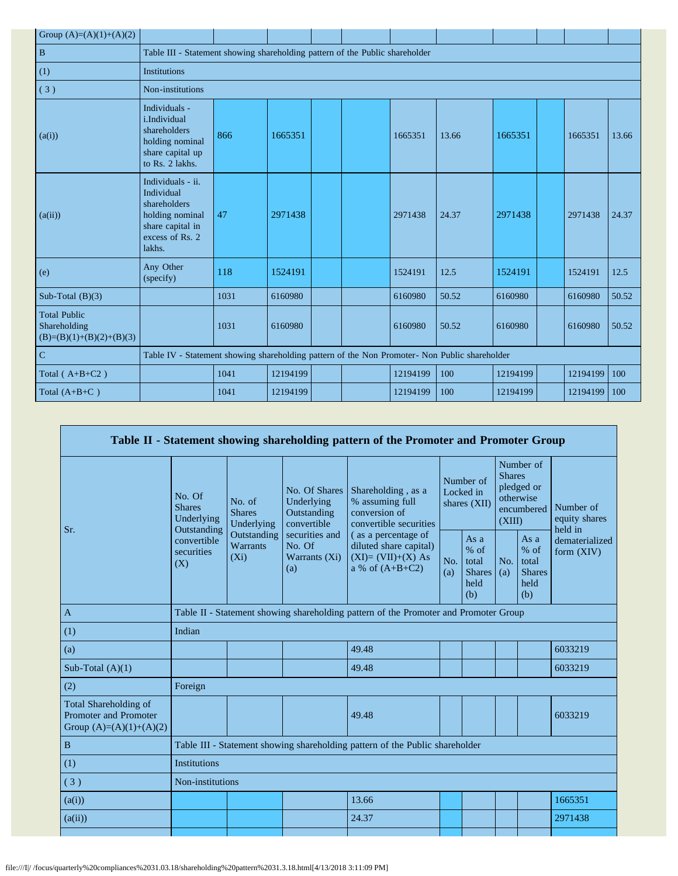| Group $(A)=(A)(1)+(A)(2)$                                         |                                                                                                                     |      |          |  |  |          |       |          |  |          |       |
|-------------------------------------------------------------------|---------------------------------------------------------------------------------------------------------------------|------|----------|--|--|----------|-------|----------|--|----------|-------|
| $\, {\bf B}$                                                      | Table III - Statement showing shareholding pattern of the Public shareholder                                        |      |          |  |  |          |       |          |  |          |       |
| (1)                                                               | <b>Institutions</b>                                                                                                 |      |          |  |  |          |       |          |  |          |       |
| (3)                                                               | Non-institutions                                                                                                    |      |          |  |  |          |       |          |  |          |       |
| (a(i))                                                            | Individuals -<br>i.Individual<br>shareholders<br>holding nominal<br>share capital up<br>to Rs. 2 lakhs.             | 866  | 1665351  |  |  | 1665351  | 13.66 | 1665351  |  | 1665351  | 13.66 |
| (a(ii))                                                           | Individuals - ii.<br>Individual<br>shareholders<br>holding nominal<br>share capital in<br>excess of Rs. 2<br>lakhs. | 47   | 2971438  |  |  | 2971438  | 24.37 | 2971438  |  | 2971438  | 24.37 |
| (e)                                                               | Any Other<br>(specify)                                                                                              | 118  | 1524191  |  |  | 1524191  | 12.5  | 1524191  |  | 1524191  | 12.5  |
| Sub-Total $(B)(3)$                                                |                                                                                                                     | 1031 | 6160980  |  |  | 6160980  | 50.52 | 6160980  |  | 6160980  | 50.52 |
| <b>Total Public</b><br>Shareholding<br>$(B)=(B)(1)+(B)(2)+(B)(3)$ |                                                                                                                     | 1031 | 6160980  |  |  | 6160980  | 50.52 | 6160980  |  | 6160980  | 50.52 |
| $\overline{C}$                                                    | Table IV - Statement showing shareholding pattern of the Non Promoter- Non Public shareholder                       |      |          |  |  |          |       |          |  |          |       |
| Total ( $A+B+C2$ )                                                |                                                                                                                     | 1041 | 12194199 |  |  | 12194199 | 100   | 12194199 |  | 12194199 | 100   |
| Total $(A+B+C)$                                                   |                                                                                                                     | 1041 | 12194199 |  |  | 12194199 | 100   | 12194199 |  | 12194199 | 100   |

| Table II - Statement showing shareholding pattern of the Promoter and Promoter Group |                                                      |                                       |                                                           |                                                                                           |                                        |                                                         |                                                                               |                                                       |                                       |
|--------------------------------------------------------------------------------------|------------------------------------------------------|---------------------------------------|-----------------------------------------------------------|-------------------------------------------------------------------------------------------|----------------------------------------|---------------------------------------------------------|-------------------------------------------------------------------------------|-------------------------------------------------------|---------------------------------------|
| Sr.                                                                                  | No. Of<br><b>Shares</b><br>Underlying<br>Outstanding | No. of<br><b>Shares</b><br>Underlying | No. Of Shares<br>Underlying<br>Outstanding<br>convertible | Shareholding, as a<br>% assuming full<br>conversion of<br>convertible securities          | Number of<br>Locked in<br>shares (XII) |                                                         | Number of<br><b>Shares</b><br>pledged or<br>otherwise<br>encumbered<br>(XIII) |                                                       | Number of<br>equity shares<br>held in |
|                                                                                      | convertible<br>securities<br>(X)                     | Outstanding<br>Warrants<br>$(X_i)$    | securities and<br>No. Of<br>Warrants (Xi)<br>(a)          | (as a percentage of<br>diluted share capital)<br>$(XI)=(VII)+(X) As$<br>a % of $(A+B+C2)$ | No.<br>(a)                             | As a<br>$%$ of<br>total<br><b>Shares</b><br>held<br>(b) | No.<br>(a)                                                                    | As a<br>% of<br>total<br><b>Shares</b><br>held<br>(b) | dematerialized<br>form $(XIV)$        |
| $\mathbf{A}$                                                                         |                                                      |                                       |                                                           | Table II - Statement showing shareholding pattern of the Promoter and Promoter Group      |                                        |                                                         |                                                                               |                                                       |                                       |
| (1)                                                                                  | Indian                                               |                                       |                                                           |                                                                                           |                                        |                                                         |                                                                               |                                                       |                                       |
| (a)                                                                                  |                                                      |                                       |                                                           | 49.48                                                                                     |                                        |                                                         |                                                                               |                                                       | 6033219                               |
| Sub-Total $(A)(1)$                                                                   |                                                      |                                       |                                                           | 49.48                                                                                     |                                        |                                                         |                                                                               |                                                       | 6033219                               |
| (2)                                                                                  | Foreign                                              |                                       |                                                           |                                                                                           |                                        |                                                         |                                                                               |                                                       |                                       |
| Total Shareholding of<br>Promoter and Promoter<br>Group $(A)=(A)(1)+(A)(2)$          |                                                      |                                       |                                                           | 49.48                                                                                     |                                        |                                                         |                                                                               |                                                       | 6033219                               |
| $\, {\bf B}$                                                                         |                                                      |                                       |                                                           | Table III - Statement showing shareholding pattern of the Public shareholder              |                                        |                                                         |                                                                               |                                                       |                                       |
| (1)                                                                                  | <b>Institutions</b>                                  |                                       |                                                           |                                                                                           |                                        |                                                         |                                                                               |                                                       |                                       |
| (3)                                                                                  | Non-institutions                                     |                                       |                                                           |                                                                                           |                                        |                                                         |                                                                               |                                                       |                                       |
| (a(i))                                                                               |                                                      |                                       |                                                           | 13.66                                                                                     |                                        |                                                         |                                                                               |                                                       | 1665351                               |
| (a(ii))                                                                              |                                                      |                                       |                                                           | 24.37                                                                                     |                                        |                                                         |                                                                               |                                                       | 2971438                               |
|                                                                                      |                                                      |                                       |                                                           |                                                                                           |                                        |                                                         |                                                                               |                                                       |                                       |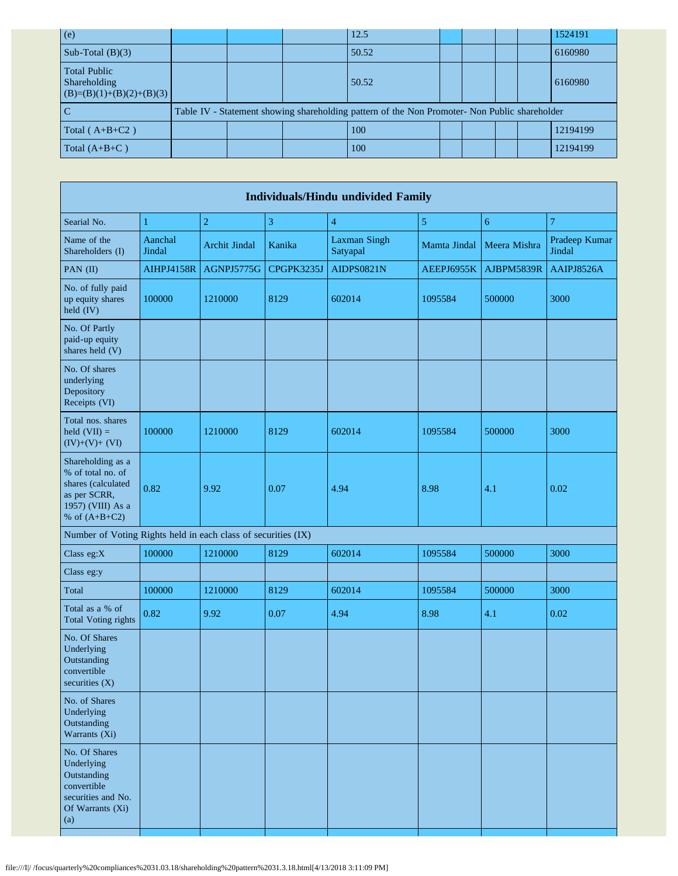| (e)                                                               |  | 12.5                                                                                          |  |  | 1524191  |
|-------------------------------------------------------------------|--|-----------------------------------------------------------------------------------------------|--|--|----------|
| Sub-Total $(B)(3)$                                                |  | 50.52                                                                                         |  |  | 6160980  |
| <b>Total Public</b><br>Shareholding<br>$(B)=(B)(1)+(B)(2)+(B)(3)$ |  | 50.52                                                                                         |  |  | 6160980  |
|                                                                   |  | Table IV - Statement showing shareholding pattern of the Non Promoter- Non Public shareholder |  |  |          |
| Total $(A+B+C2)$                                                  |  | 100                                                                                           |  |  | 12194199 |
| Total $(A+B+C)$                                                   |  | 100                                                                                           |  |  | 12194199 |

| <b>Individuals/Hindu undivided Family</b>                                                                            |                   |                      |              |                                 |              |              |                         |  |  |
|----------------------------------------------------------------------------------------------------------------------|-------------------|----------------------|--------------|---------------------------------|--------------|--------------|-------------------------|--|--|
| Searial No.                                                                                                          | 1                 | $\overline{2}$       | $\mathbf{3}$ | $\overline{4}$                  | 5            | 6            | $\overline{7}$          |  |  |
| Name of the<br>Shareholders (I)                                                                                      | Aanchal<br>Jindal | <b>Archit Jindal</b> | Kanika       | <b>Laxman Singh</b><br>Satyapal | Mamta Jindal | Meera Mishra | Pradeep Kumar<br>Jindal |  |  |
| PAN $(II)$                                                                                                           | <b>AIHPJ4158R</b> | AGNPJ5775G           | CPGPK3235J   | <b>AIDPS0821N</b>               | AEEPJ6955K   | AJBPM5839R   | AAIPJ8526A              |  |  |
| No. of fully paid<br>up equity shares<br>held (IV)                                                                   | 100000            | 1210000              | 8129         | 602014                          | 1095584      | 500000       | 3000                    |  |  |
| No. Of Partly<br>paid-up equity<br>shares held (V)                                                                   |                   |                      |              |                                 |              |              |                         |  |  |
| No. Of shares<br>underlying<br>Depository<br>Receipts (VI)                                                           |                   |                      |              |                                 |              |              |                         |  |  |
| Total nos. shares<br>held $(VII) =$<br>$(IV)+(V)+(VI)$                                                               | 100000            | 1210000              | 8129         | 602014                          | 1095584      | 500000       | 3000                    |  |  |
| Shareholding as a<br>% of total no. of<br>shares (calculated<br>as per SCRR,<br>1957) (VIII) As a<br>% of $(A+B+C2)$ | 0.82              | 9.92                 | 0.07         | 4.94                            | 8.98         | 4.1          | 0.02                    |  |  |
| Number of Voting Rights held in each class of securities (IX)                                                        |                   |                      |              |                                 |              |              |                         |  |  |
| Class eg:X                                                                                                           | 100000            | 1210000              | 8129         | 602014                          | 1095584      | 500000       | 3000                    |  |  |
| Class eg:y                                                                                                           |                   |                      |              |                                 |              |              |                         |  |  |
| Total                                                                                                                | 100000            | 1210000              | 8129         | 602014                          | 1095584      | 500000       | 3000                    |  |  |
| Total as a % of<br><b>Total Voting rights</b>                                                                        | 0.82              | 9.92                 | 0.07         | 4.94                            | 8.98         | 4.1          | 0.02                    |  |  |
| No. Of Shares<br>Underlying<br>Outstanding<br>convertible<br>securities (X)                                          |                   |                      |              |                                 |              |              |                         |  |  |
| No. of Shares<br>Underlying<br>Outstanding<br>Warrants (Xi)                                                          |                   |                      |              |                                 |              |              |                         |  |  |
| No. Of Shares<br>Underlying<br>Outstanding<br>convertible<br>securities and No.<br>Of Warrants (Xi)<br>(a)           |                   |                      |              |                                 |              |              |                         |  |  |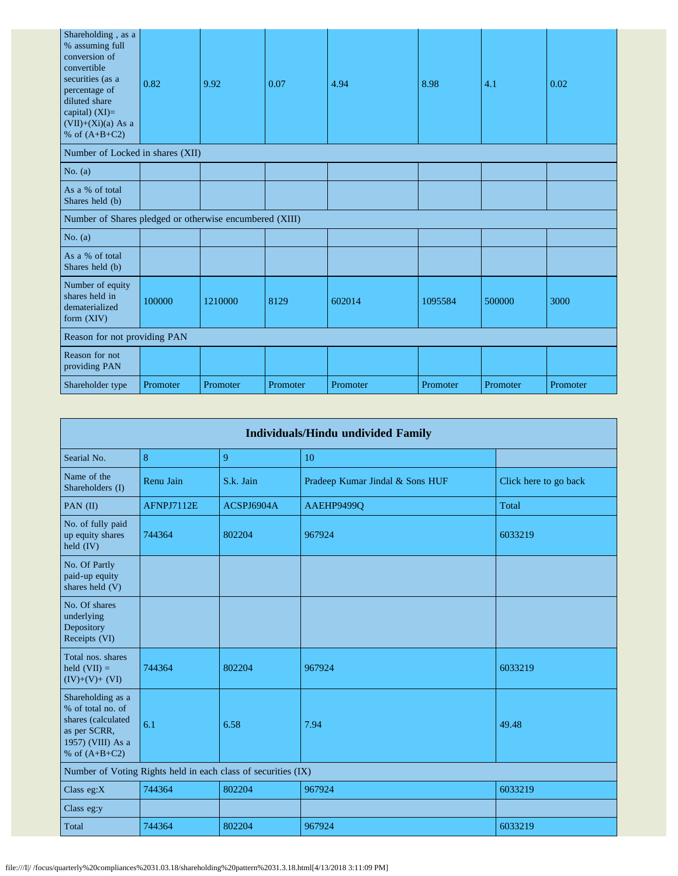| Shareholding, as a<br>% assuming full<br>conversion of<br>convertible<br>securities (as a<br>percentage of<br>diluted share<br>capital) $(XI)=$<br>$(VII)+(Xi)(a)$ As a<br>% of $(A+B+C2)$ | 0.82     | 9.92     | 0.07     | 4.94     | 8.98     | 4.1      | 0.02     |  |  |
|--------------------------------------------------------------------------------------------------------------------------------------------------------------------------------------------|----------|----------|----------|----------|----------|----------|----------|--|--|
| Number of Locked in shares (XII)                                                                                                                                                           |          |          |          |          |          |          |          |  |  |
| No. $(a)$                                                                                                                                                                                  |          |          |          |          |          |          |          |  |  |
| As a % of total<br>Shares held (b)                                                                                                                                                         |          |          |          |          |          |          |          |  |  |
| Number of Shares pledged or otherwise encumbered (XIII)                                                                                                                                    |          |          |          |          |          |          |          |  |  |
| No. $(a)$                                                                                                                                                                                  |          |          |          |          |          |          |          |  |  |
| As a % of total<br>Shares held (b)                                                                                                                                                         |          |          |          |          |          |          |          |  |  |
| Number of equity<br>shares held in<br>dematerialized<br>form (XIV)                                                                                                                         | 100000   | 1210000  | 8129     | 602014   | 1095584  | 500000   | 3000     |  |  |
| Reason for not providing PAN                                                                                                                                                               |          |          |          |          |          |          |          |  |  |
| Reason for not<br>providing PAN                                                                                                                                                            |          |          |          |          |          |          |          |  |  |
| Shareholder type                                                                                                                                                                           | Promoter | Promoter | Promoter | Promoter | Promoter | Promoter | Promoter |  |  |

| Individuals/Hindu undivided Family                                                                                   |            |            |                                 |                       |  |  |  |  |  |
|----------------------------------------------------------------------------------------------------------------------|------------|------------|---------------------------------|-----------------------|--|--|--|--|--|
| Searial No.                                                                                                          | 8          | 9          | 10                              |                       |  |  |  |  |  |
| Name of the<br>Shareholders (I)                                                                                      | Renu Jain  | S.k. Jain  | Pradeep Kumar Jindal & Sons HUF | Click here to go back |  |  |  |  |  |
| PAN $(II)$                                                                                                           | AFNPJ7112E | ACSPJ6904A | AAEHP9499O                      | Total                 |  |  |  |  |  |
| No. of fully paid<br>up equity shares<br>held (IV)                                                                   | 744364     | 802204     | 967924                          | 6033219               |  |  |  |  |  |
| No. Of Partly<br>paid-up equity<br>shares held (V)                                                                   |            |            |                                 |                       |  |  |  |  |  |
| No. Of shares<br>underlying<br>Depository<br>Receipts (VI)                                                           |            |            |                                 |                       |  |  |  |  |  |
| Total nos. shares<br>held $(VII) =$<br>$(IV)+(V)+(VI)$                                                               | 744364     | 802204     | 967924                          | 6033219               |  |  |  |  |  |
| Shareholding as a<br>% of total no. of<br>shares (calculated<br>as per SCRR,<br>1957) (VIII) As a<br>% of $(A+B+C2)$ | 6.1        | 6.58       | 7.94                            | 49.48                 |  |  |  |  |  |
| Number of Voting Rights held in each class of securities (IX)                                                        |            |            |                                 |                       |  |  |  |  |  |
| Class $eg:X$                                                                                                         | 744364     | 802204     | 967924                          | 6033219               |  |  |  |  |  |
| Class eg:y                                                                                                           |            |            |                                 |                       |  |  |  |  |  |
| Total                                                                                                                | 744364     | 802204     | 967924                          | 6033219               |  |  |  |  |  |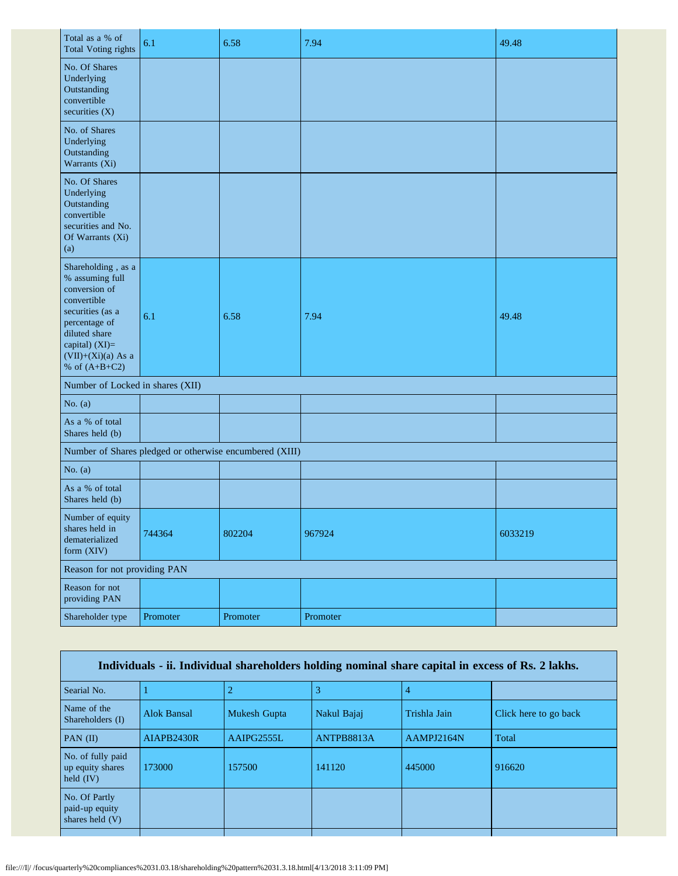| Total as a % of<br><b>Total Voting rights</b>                                                                                                                                            | 6.1      | 6.58     | 7.94     | 49.48   |  |  |
|------------------------------------------------------------------------------------------------------------------------------------------------------------------------------------------|----------|----------|----------|---------|--|--|
| No. Of Shares<br>Underlying<br>Outstanding<br>convertible<br>securities $(X)$                                                                                                            |          |          |          |         |  |  |
| No. of Shares<br>Underlying<br>Outstanding<br>Warrants (Xi)                                                                                                                              |          |          |          |         |  |  |
| No. Of Shares<br>Underlying<br>Outstanding<br>convertible<br>securities and No.<br>Of Warrants (Xi)<br>(a)                                                                               |          |          |          |         |  |  |
| Shareholding, as a<br>% assuming full<br>conversion of<br>convertible<br>securities (as a<br>percentage of<br>diluted share<br>capital) (XI)=<br>$(VII)+(Xi)(a)$ As a<br>% of $(A+B+C2)$ | 6.1      | 6.58     | 7.94     | 49.48   |  |  |
| Number of Locked in shares (XII)                                                                                                                                                         |          |          |          |         |  |  |
| No. $(a)$                                                                                                                                                                                |          |          |          |         |  |  |
| As a % of total<br>Shares held (b)                                                                                                                                                       |          |          |          |         |  |  |
| Number of Shares pledged or otherwise encumbered (XIII)                                                                                                                                  |          |          |          |         |  |  |
| No. $(a)$                                                                                                                                                                                |          |          |          |         |  |  |
| As a % of total<br>Shares held (b)                                                                                                                                                       |          |          |          |         |  |  |
| Number of equity<br>shares held in<br>dematerialized<br>form (XIV)                                                                                                                       | 744364   | 802204   | 967924   | 6033219 |  |  |
| Reason for not providing PAN                                                                                                                                                             |          |          |          |         |  |  |
| Reason for not<br>providing PAN                                                                                                                                                          |          |          |          |         |  |  |
| Shareholder type                                                                                                                                                                         | Promoter | Promoter | Promoter |         |  |  |

| Individuals - ii. Individual shareholders holding nominal share capital in excess of Rs. 2 lakhs. |                    |                     |             |              |                       |  |  |
|---------------------------------------------------------------------------------------------------|--------------------|---------------------|-------------|--------------|-----------------------|--|--|
| Searial No.                                                                                       |                    |                     |             |              |                       |  |  |
| Name of the<br>Shareholders (I)                                                                   | <b>Alok Bansal</b> | <b>Mukesh Gupta</b> | Nakul Bajaj | Trishla Jain | Click here to go back |  |  |
| PAN $(II)$                                                                                        | AIAPB2430R         | AAIPG2555L          | ANTPB8813A  | AAMPJ2164N   | Total                 |  |  |
| No. of fully paid<br>up equity shares<br>held $(IV)$                                              | 173000             | 157500              | 141120      | 445000       | 916620                |  |  |
| No. Of Partly<br>paid-up equity<br>shares held $(V)$                                              |                    |                     |             |              |                       |  |  |
|                                                                                                   |                    |                     |             |              |                       |  |  |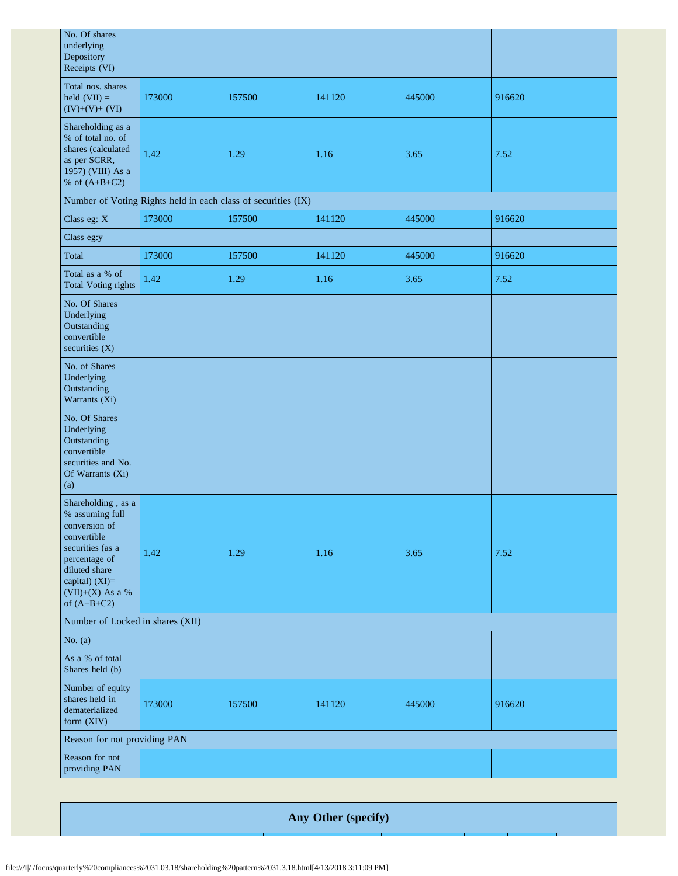| No. Of shares<br>underlying<br>Depository<br>Receipts (VI)                                                                                                                         |        |                                                               |        |        |        |  |  |
|------------------------------------------------------------------------------------------------------------------------------------------------------------------------------------|--------|---------------------------------------------------------------|--------|--------|--------|--|--|
| Total nos. shares<br>held $(VII) =$<br>$(IV)+(V)+(VI)$                                                                                                                             | 173000 | 157500                                                        | 141120 | 445000 | 916620 |  |  |
| Shareholding as a<br>% of total no. of<br>shares (calculated<br>as per SCRR,<br>1957) (VIII) As a<br>% of $(A+B+C2)$                                                               | 1.42   | 1.29                                                          | 1.16   | 3.65   | 7.52   |  |  |
|                                                                                                                                                                                    |        | Number of Voting Rights held in each class of securities (IX) |        |        |        |  |  |
| Class eg: X                                                                                                                                                                        | 173000 | 157500                                                        | 141120 | 445000 | 916620 |  |  |
| Class eg:y                                                                                                                                                                         |        |                                                               |        |        |        |  |  |
| Total                                                                                                                                                                              | 173000 | 157500                                                        | 141120 | 445000 | 916620 |  |  |
| Total as a % of<br><b>Total Voting rights</b>                                                                                                                                      | 1.42   | 1.29                                                          | 1.16   | 3.65   | 7.52   |  |  |
| No. Of Shares<br>Underlying<br>Outstanding<br>convertible<br>securities (X)                                                                                                        |        |                                                               |        |        |        |  |  |
| No. of Shares<br>Underlying<br>Outstanding<br>Warrants (Xi)                                                                                                                        |        |                                                               |        |        |        |  |  |
| No. Of Shares<br>Underlying<br>Outstanding<br>convertible<br>securities and No.<br>Of Warrants (Xi)<br>(a)                                                                         |        |                                                               |        |        |        |  |  |
| Shareholding, as a<br>% assuming full<br>conversion of<br>convertible<br>securities (as a<br>percentage of<br>diluted share<br>capital) (XI)=<br>(VII)+(X) As a %<br>of $(A+B+C2)$ | 1.42   | 1.29                                                          | 1.16   | 3.65   | 7.52   |  |  |
| Number of Locked in shares (XII)                                                                                                                                                   |        |                                                               |        |        |        |  |  |
| No. $(a)$                                                                                                                                                                          |        |                                                               |        |        |        |  |  |
| As a % of total<br>Shares held (b)                                                                                                                                                 |        |                                                               |        |        |        |  |  |
| Number of equity<br>shares held in<br>dematerialized<br>form (XIV)                                                                                                                 | 173000 | 157500                                                        | 141120 | 445000 | 916620 |  |  |
| Reason for not providing PAN                                                                                                                                                       |        |                                                               |        |        |        |  |  |
| Reason for not<br>providing PAN                                                                                                                                                    |        |                                                               |        |        |        |  |  |

**Any Other (specify)**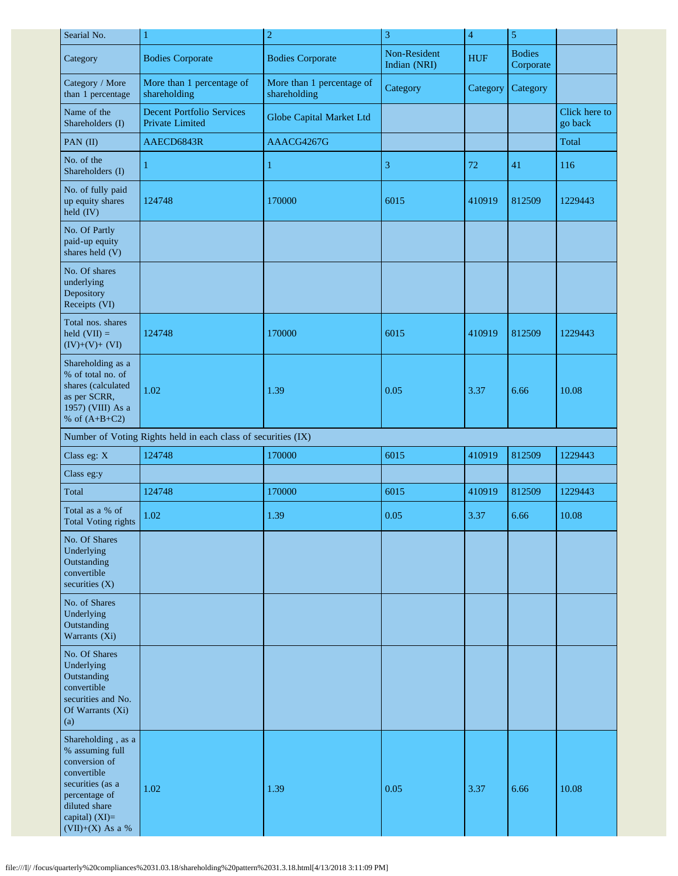| Searial No.                                                                                                                                                         | $\overline{c}$<br>$\mathbf{1}$                                |                                           | 3                            | $\overline{4}$ | $\mathfrak{S}$             |                          |
|---------------------------------------------------------------------------------------------------------------------------------------------------------------------|---------------------------------------------------------------|-------------------------------------------|------------------------------|----------------|----------------------------|--------------------------|
| Category                                                                                                                                                            | <b>Bodies Corporate</b>                                       | <b>Bodies Corporate</b>                   | Non-Resident<br>Indian (NRI) | <b>HUF</b>     | <b>Bodies</b><br>Corporate |                          |
| Category / More<br>than 1 percentage                                                                                                                                | More than 1 percentage of<br>shareholding                     | More than 1 percentage of<br>shareholding | Category                     | Category       | Category                   |                          |
| Name of the<br>Shareholders (I)                                                                                                                                     | <b>Decent Portfolio Services</b><br>Private Limited           | Globe Capital Market Ltd                  |                              |                |                            | Click here to<br>go back |
| PAN (II)                                                                                                                                                            | AAECD6843R                                                    | AAACG4267G                                |                              |                |                            | Total                    |
| No. of the<br>Shareholders (I)                                                                                                                                      | 1                                                             | $\mathbf{1}$                              | 3                            | 72             | 41                         | 116                      |
| No. of fully paid<br>up equity shares<br>held (IV)                                                                                                                  | 124748                                                        | 170000                                    | 6015                         | 410919         | 812509                     | 1229443                  |
| No. Of Partly<br>paid-up equity<br>shares held (V)                                                                                                                  |                                                               |                                           |                              |                |                            |                          |
| No. Of shares<br>underlying<br>Depository<br>Receipts (VI)                                                                                                          |                                                               |                                           |                              |                |                            |                          |
| Total nos. shares<br>held $(VII) =$<br>$(IV)+(V)+(VI)$                                                                                                              | 124748                                                        | 170000                                    | 6015                         | 410919         | 812509                     | 1229443                  |
| Shareholding as a<br>% of total no. of<br>shares (calculated<br>as per SCRR,<br>1957) (VIII) As a<br>% of $(A+B+C2)$                                                | 1.02                                                          | 1.39                                      | 0.05                         | 3.37           | 6.66                       | 10.08                    |
|                                                                                                                                                                     | Number of Voting Rights held in each class of securities (IX) |                                           |                              |                |                            |                          |
| Class eg: X                                                                                                                                                         | 124748                                                        | 170000                                    | 6015                         | 410919         | 812509                     | 1229443                  |
| Class eg:y                                                                                                                                                          |                                                               |                                           |                              |                |                            |                          |
| Total                                                                                                                                                               | 124748                                                        | 170000                                    | 6015                         | 410919         | 812509                     | 1229443                  |
| Total as a % of<br><b>Total Voting rights</b>                                                                                                                       | 1.02                                                          | 1.39                                      | 0.05                         | 3.37           | 6.66                       | 10.08                    |
| No. Of Shares<br>Underlying<br>Outstanding<br>convertible<br>securities $(X)$                                                                                       |                                                               |                                           |                              |                |                            |                          |
| No. of Shares<br>Underlying<br>Outstanding<br>Warrants (Xi)                                                                                                         |                                                               |                                           |                              |                |                            |                          |
| No. Of Shares<br>Underlying<br>Outstanding<br>convertible<br>securities and No.<br>Of Warrants (Xi)<br>(a)                                                          |                                                               |                                           |                              |                |                            |                          |
| Shareholding, as a<br>% assuming full<br>conversion of<br>convertible<br>securities (as a<br>percentage of<br>diluted share<br>capital) (XI)=<br>$(VII)+(X)$ As a % | 1.02                                                          | 1.39                                      | 0.05                         | 3.37           | 6.66                       | 10.08                    |